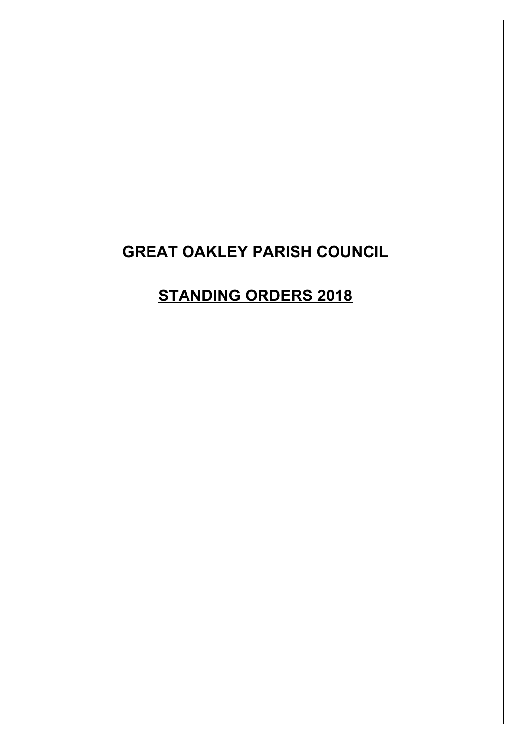### **GREAT OAKLEY PARISH COUNCIL**

### **STANDING ORDERS 2018**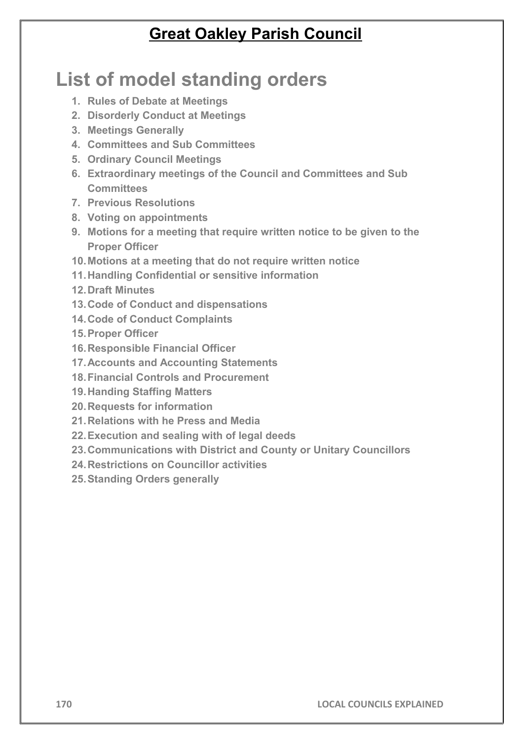### **Great Oakley Parish Council**

# **List of model standing orders**

- **1. Rules of Debate at Meetings**
- **2. Disorderly Conduct at Meetings**
- **3. Meetings Generally**
- **4. Committees and Sub Committees**
- **5. Ordinary Council Meetings**
- **6. Extraordinary meetings of the Council and Committees and Sub Committees**
- **7. Previous Resolutions**
- **8. Voting on appointments**
- **9. Motions for a meeting that require written notice to be given to the Proper Officer**
- **10.Motions at a meeting that do not require written notice**
- **11.Handling Confidential or sensitive information**
- **12.Draft Minutes**
- **13.Code of Conduct and dispensations**
- **14.Code of Conduct Complaints**
- **15.Proper Officer**
- **16.Responsible Financial Officer**
- **17.Accounts and Accounting Statements**
- **18.Financial Controls and Procurement**
- **19.Handing Staffing Matters**
- **20.Requests for information**
- **21.Relations with he Press and Media**
- **22.Execution and sealing with of legal deeds**
- **23.Communications with District and County or Unitary Councillors**
- **24.Restrictions on Councillor activities**
- **25.Standing Orders generally**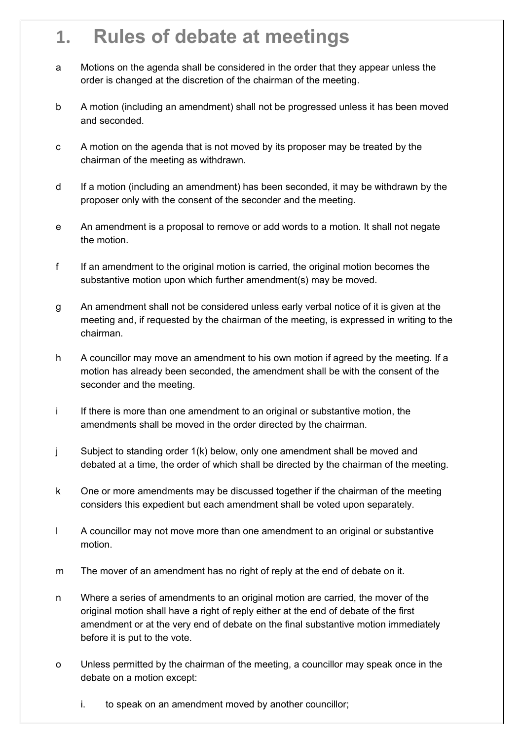### **1. Rules of debate at meetings**

- a Motions on the agenda shall be considered in the order that they appear unless the order is changed at the discretion of the chairman of the meeting.
- b A motion (including an amendment) shall not be progressed unless it has been moved and seconded.
- c A motion on the agenda that is not moved by its proposer may be treated by the chairman of the meeting as withdrawn.
- d If a motion (including an amendment) has been seconded, it may be withdrawn by the proposer only with the consent of the seconder and the meeting.
- e An amendment is a proposal to remove or add words to a motion. It shall not negate the motion.
- f If an amendment to the original motion is carried, the original motion becomes the substantive motion upon which further amendment(s) may be moved.
- g An amendment shall not be considered unless early verbal notice of it is given at the meeting and, if requested by the chairman of the meeting, is expressed in writing to the chairman.
- h A councillor may move an amendment to his own motion if agreed by the meeting. If a motion has already been seconded, the amendment shall be with the consent of the seconder and the meeting.
- i If there is more than one amendment to an original or substantive motion, the amendments shall be moved in the order directed by the chairman.
- j Subject to standing order 1(k) below, only one amendment shall be moved and debated at a time, the order of which shall be directed by the chairman of the meeting.
- k One or more amendments may be discussed together if the chairman of the meeting considers this expedient but each amendment shall be voted upon separately.
- l A councillor may not move more than one amendment to an original or substantive motion.
- m The mover of an amendment has no right of reply at the end of debate on it.
- n Where a series of amendments to an original motion are carried, the mover of the original motion shall have a right of reply either at the end of debate of the first amendment or at the very end of debate on the final substantive motion immediately before it is put to the vote.
- o Unless permitted by the chairman of the meeting, a councillor may speak once in the debate on a motion except:
	- i. to speak on an amendment moved by another councillor;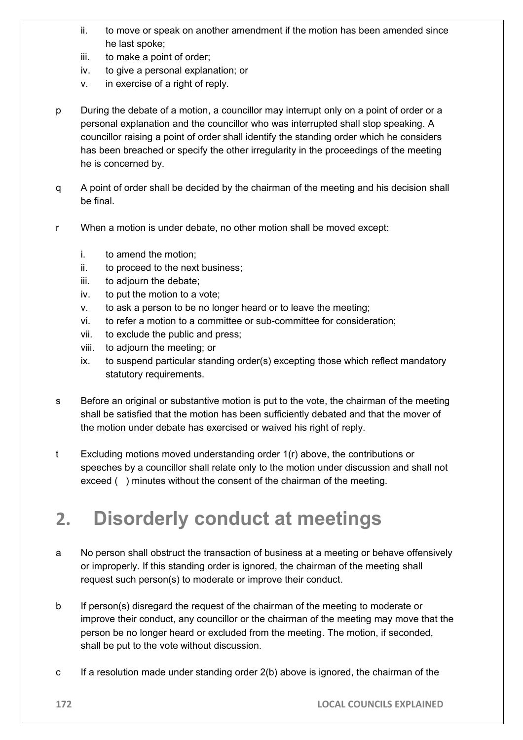- ii. to move or speak on another amendment if the motion has been amended since he last spoke;
- iii. to make a point of order;
- iv. to give a personal explanation; or
- v. in exercise of a right of reply.
- p During the debate of a motion, a councillor may interrupt only on a point of order or a personal explanation and the councillor who was interrupted shall stop speaking. A councillor raising a point of order shall identify the standing order which he considers has been breached or specify the other irregularity in the proceedings of the meeting he is concerned by.
- q A point of order shall be decided by the chairman of the meeting and his decision shall be final.
- r When a motion is under debate, no other motion shall be moved except:
	- i. to amend the motion;
	- ii. to proceed to the next business;
	- iii. to adjourn the debate;
	- iv. to put the motion to a vote;
	- v. to ask a person to be no longer heard or to leave the meeting;
	- vi. to refer a motion to a committee or sub-committee for consideration;
	- vii. to exclude the public and press;
	- viii. to adjourn the meeting; or
	- ix. to suspend particular standing order(s) excepting those which reflect mandatory statutory requirements.
- s Before an original or substantive motion is put to the vote, the chairman of the meeting shall be satisfied that the motion has been sufficiently debated and that the mover of the motion under debate has exercised or waived his right of reply.
- t Excluding motions moved understanding order 1(r) above, the contributions or speeches by a councillor shall relate only to the motion under discussion and shall not exceed ( ) minutes without the consent of the chairman of the meeting.

### **2. Disorderly conduct at meetings**

- a No person shall obstruct the transaction of business at a meeting or behave offensively or improperly. If this standing order is ignored, the chairman of the meeting shall request such person(s) to moderate or improve their conduct.
- b If person(s) disregard the request of the chairman of the meeting to moderate or improve their conduct, any councillor or the chairman of the meeting may move that the person be no longer heard or excluded from the meeting. The motion, if seconded, shall be put to the vote without discussion.
- c If a resolution made under standing order 2(b) above is ignored, the chairman of the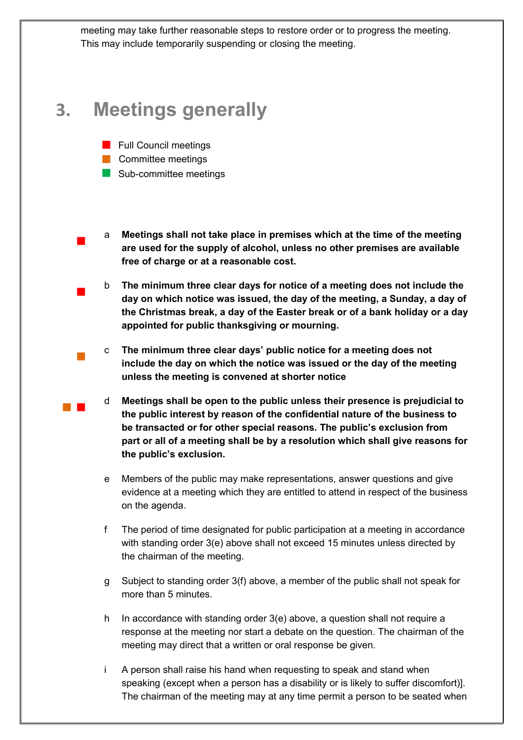meeting may take further reasonable steps to restore order or to progress the meeting. This may include temporarily suspending or closing the meeting.

### **3. Meetings generally**

- **Full Council meetings**
- **Committee meetings**

 $\overline{\phantom{a}}$ 

 $\overline{\phantom{a}}$ 

 $\mathcal{L}_{\mathcal{A}}$ 

- Sub-committee meetings
- a **Meetings shall not take place in premises which at the time of the meeting are used for the supply of alcohol, unless no other premises are available free of charge or at a reasonable cost.**
- b **The minimum three clear days for notice of a meeting does not include the day on which notice was issued, the day of the meeting, a Sunday, a day of the Christmas break, a day of the Easter break or of a bank holiday or a day appointed for public thanksgiving or mourning.**
- c **The minimum three clear days' public notice for a meeting does not include the day on which the notice was issued or the day of the meeting unless the meeting is convened at shorter notice**
- d **Meetings shall be open to the public unless their presence is prejudicial to the public interest by reason of the confidential nature of the business to be transacted or for other special reasons. The public's exclusion from part or all of a meeting shall be by a resolution which shall give reasons for the public's exclusion.**
- e Members of the public may make representations, answer questions and give evidence at a meeting which they are entitled to attend in respect of the business on the agenda.
- f The period of time designated for public participation at a meeting in accordance with standing order 3(e) above shall not exceed 15 minutes unless directed by the chairman of the meeting.
- g Subject to standing order 3(f) above, a member of the public shall not speak for more than 5 minutes.
- h In accordance with standing order 3(e) above, a question shall not require a response at the meeting nor start a debate on the question. The chairman of the meeting may direct that a written or oral response be given.
- i A person shall raise his hand when requesting to speak and stand when speaking (except when a person has a disability or is likely to suffer discomfort)]. The chairman of the meeting may at any time permit a person to be seated when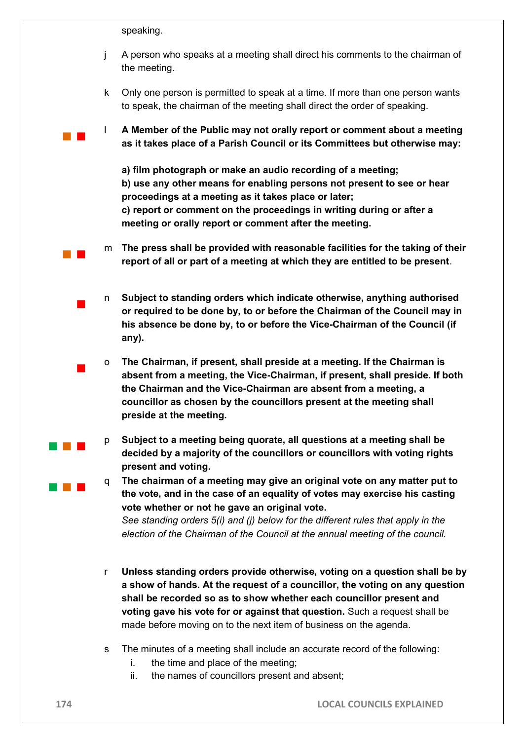speaking.

 $\blacksquare$ 

 $\blacksquare$ 

 $\sim 10^{-1}$ 

 $\sim 10^{-1}$ 

- j A person who speaks at a meeting shall direct his comments to the chairman of the meeting.
- k Only one person is permitted to speak at a time. If more than one person wants to speak, the chairman of the meeting shall direct the order of speaking.
- l **A Member of the Public may not orally report or comment about a meeting as it takes place of a Parish Council or its Committees but otherwise may:**
	- **a) film photograph or make an audio recording of a meeting; b) use any other means for enabling persons not present to see or hear proceedings at a meeting as it takes place or later; c) report or comment on the proceedings in writing during or after a meeting or orally report or comment after the meeting.**
- m **The press shall be provided with reasonable facilities for the taking of their report of all or part of a meeting at which they are entitled to be present**.
- n **Subject to standing orders which indicate otherwise, anything authorised or required to be done by, to or before the Chairman of the Council may in his absence be done by, to or before the Vice-Chairman of the Council (if any).**
- o **The Chairman, if present, shall preside at a meeting. If the Chairman is absent from a meeting, the Vice-Chairman, if present, shall preside. If both the Chairman and the Vice-Chairman are absent from a meeting, a councillor as chosen by the councillors present at the meeting shall preside at the meeting.**
- p **Subject to a meeting being quorate, all questions at a meeting shall be decided by a majority of the councillors or councillors with voting rights present and voting.**
- q **The chairman of a meeting may give an original vote on any matter put to the vote, and in the case of an equality of votes may exercise his casting vote whether or not he gave an original vote.**

*See standing orders 5(i) and (j) below for the different rules that apply in the election of the Chairman of the Council at the annual meeting of the council.*

- r **Unless standing orders provide otherwise, voting on a question shall be by a show of hands. At the request of a councillor, the voting on any question shall be recorded so as to show whether each councillor present and voting gave his vote for or against that question.** Such a request shall be made before moving on to the next item of business on the agenda.
- s The minutes of a meeting shall include an accurate record of the following:
	- i. the time and place of the meeting;
	- ii. the names of councillors present and absent;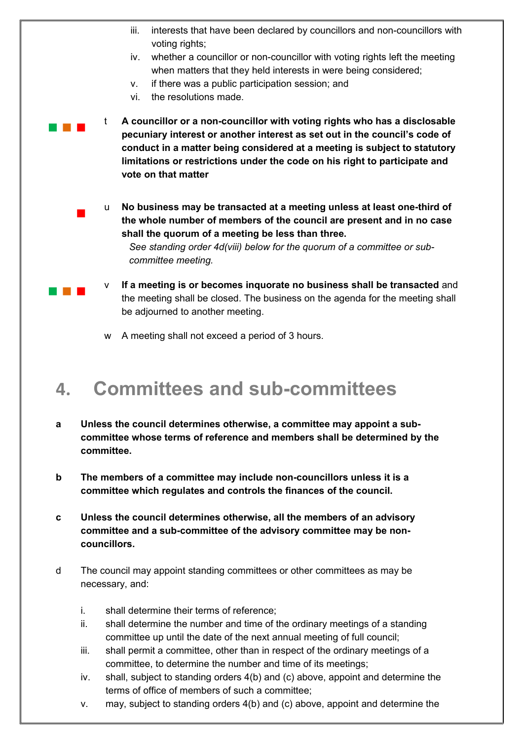- iii. interests that have been declared by councillors and non-councillors with voting rights;
	- iv. whether a councillor or non-councillor with voting rights left the meeting when matters that they held interests in were being considered;
	- v. if there was a public participation session; and
	- vi. the resolutions made.

 $\blacksquare$ 

**The Company** 

- $\sim 10^{-1}$ t **A councillor or a non-councillor with voting rights who has a disclosable pecuniary interest or another interest as set out in the council's code of conduct in a matter being considered at a meeting is subject to statutory limitations or restrictions under the code on his right to participate and vote on that matter**
	- u **No business may be transacted at a meeting unless at least one-third of the whole number of members of the council are present and in no case shall the quorum of a meeting be less than three.**

*See standing order 4d(viii) below for the quorum of a committee or subcommittee meeting.* 

- If a meeting is or becomes inquorate no business shall be transacted and the meeting shall be closed. The business on the agenda for the meeting shall be adjourned to another meeting.
- w A meeting shall not exceed a period of 3 hours.

### **4. Committees and sub-committees**

- **a Unless the council determines otherwise, a committee may appoint a subcommittee whose terms of reference and members shall be determined by the committee.**
- **b The members of a committee may include non-councillors unless it is a committee which regulates and controls the finances of the council.**
- **c Unless the council determines otherwise, all the members of an advisory committee and a sub-committee of the advisory committee may be noncouncillors.**
- d The council may appoint standing committees or other committees as may be necessary, and:
	- i. shall determine their terms of reference;
	- ii. shall determine the number and time of the ordinary meetings of a standing committee up until the date of the next annual meeting of full council;
	- iii. shall permit a committee, other than in respect of the ordinary meetings of a committee, to determine the number and time of its meetings;
	- iv. shall, subject to standing orders 4(b) and (c) above, appoint and determine the terms of office of members of such a committee;
	- v. may, subject to standing orders 4(b) and (c) above, appoint and determine the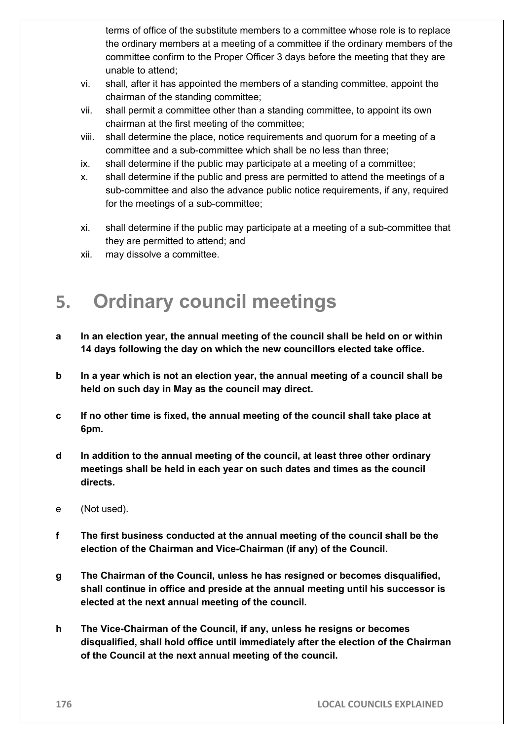terms of office of the substitute members to a committee whose role is to replace the ordinary members at a meeting of a committee if the ordinary members of the committee confirm to the Proper Officer 3 days before the meeting that they are unable to attend;

- vi. shall, after it has appointed the members of a standing committee, appoint the chairman of the standing committee;
- vii. shall permit a committee other than a standing committee, to appoint its own chairman at the first meeting of the committee;
- viii. shall determine the place, notice requirements and quorum for a meeting of a committee and a sub-committee which shall be no less than three;
- ix. shall determine if the public may participate at a meeting of a committee;
- x. shall determine if the public and press are permitted to attend the meetings of a sub-committee and also the advance public notice requirements, if any, required for the meetings of a sub-committee;
- xi. shall determine if the public may participate at a meeting of a sub-committee that they are permitted to attend; and
- xii. may dissolve a committee.

# **5. Ordinary council meetings**

- **a In an election year, the annual meeting of the council shall be held on or within 14 days following the day on which the new councillors elected take office.**
- **b In a year which is not an election year, the annual meeting of a council shall be held on such day in May as the council may direct.**
- **c If no other time is fixed, the annual meeting of the council shall take place at 6pm.**
- **d In addition to the annual meeting of the council, at least three other ordinary meetings shall be held in each year on such dates and times as the council directs.**
- e (Not used).
- **f The first business conducted at the annual meeting of the council shall be the election of the Chairman and Vice-Chairman (if any) of the Council.**
- **g The Chairman of the Council, unless he has resigned or becomes disqualified, shall continue in office and preside at the annual meeting until his successor is elected at the next annual meeting of the council.**
- **h The Vice-Chairman of the Council, if any, unless he resigns or becomes disqualified, shall hold office until immediately after the election of the Chairman of the Council at the next annual meeting of the council.**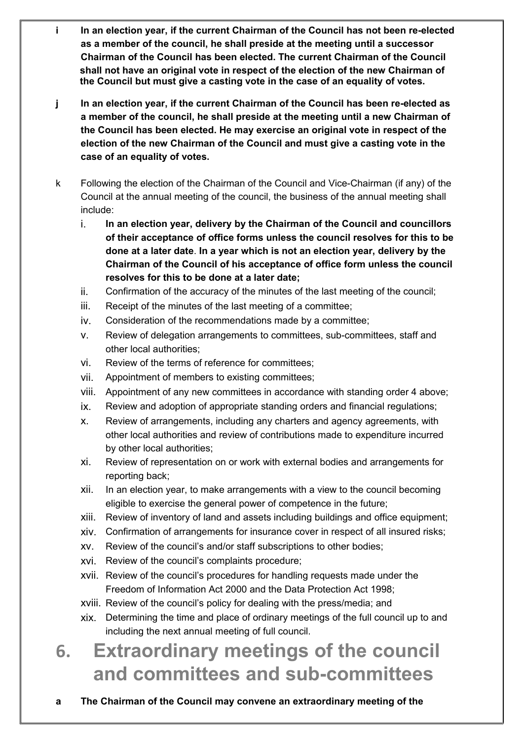- **i In an election year, if the current Chairman of the Council has not been re-elected as a member of the council, he shall preside at the meeting until a successor Chairman of the Council has been elected. The current Chairman of the Council shall not have an original vote in respect of the election of the new Chairman of the Council but must give a casting vote in the case of an equality of votes.**
- **j In an election year, if the current Chairman of the Council has been re-elected as a member of the council, he shall preside at the meeting until a new Chairman of the Council has been elected. He may exercise an original vote in respect of the election of the new Chairman of the Council and must give a casting vote in the case of an equality of votes.**
- k Following the election of the Chairman of the Council and Vice-Chairman (if any) of the Council at the annual meeting of the council, the business of the annual meeting shall include:
	- i. **In an election year, delivery by the Chairman of the Council and councillors of their acceptance of office forms unless the council resolves for this to be done at a later date**. **In a year which is not an election year, delivery by the Chairman of the Council of his acceptance of office form unless the council resolves for this to be done at a later date;**
	- ii. Confirmation of the accuracy of the minutes of the last meeting of the council;
	- iii. Receipt of the minutes of the last meeting of a committee;
	- iv. Consideration of the recommendations made by a committee;
	- v. Review of delegation arrangements to committees, sub-committees, staff and other local authorities;
	- vi. Review of the terms of reference for committees;
	- vii. Appointment of members to existing committees;
	- viii. Appointment of any new committees in accordance with standing order 4 above;
	- ix. Review and adoption of appropriate standing orders and financial regulations;
	- x. Review of arrangements, including any charters and agency agreements, with other local authorities and review of contributions made to expenditure incurred by other local authorities;
	- xi. Review of representation on or work with external bodies and arrangements for reporting back;
	- xii. In an election year, to make arrangements with a view to the council becoming eligible to exercise the general power of competence in the future;
	- xiii. Review of inventory of land and assets including buildings and office equipment;
	- xiv. Confirmation of arrangements for insurance cover in respect of all insured risks;
	- xv. Review of the council's and/or staff subscriptions to other bodies;
	- xvi. Review of the council's complaints procedure;
	- xvii. Review of the council's procedures for handling requests made under the Freedom of Information Act 2000 and the Data Protection Act 1998;
	- xviii. Review of the council's policy for dealing with the press/media; and
	- xix. Determining the time and place of ordinary meetings of the full council up to and including the next annual meeting of full council.

# **6. Extraordinary meetings of the council and committees and sub-committees**

**a The Chairman of the Council may convene an extraordinary meeting of the**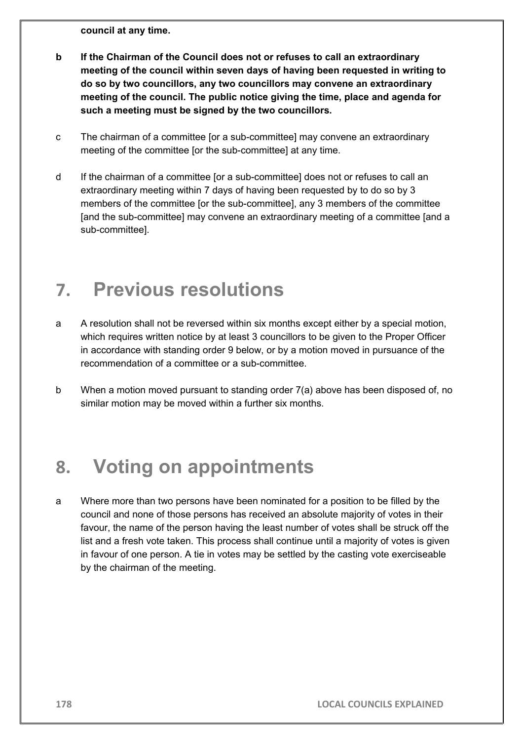**council at any time.** 

- **b If the Chairman of the Council does not or refuses to call an extraordinary meeting of the council within seven days of having been requested in writing to do so by two councillors, any two councillors may convene an extraordinary meeting of the council. The public notice giving the time, place and agenda for such a meeting must be signed by the two councillors.**
- c The chairman of a committee [or a sub-committee] may convene an extraordinary meeting of the committee [or the sub-committee] at any time.
- d If the chairman of a committee [or a sub-committee] does not or refuses to call an extraordinary meeting within 7 days of having been requested by to do so by 3 members of the committee [or the sub-committee], any 3 members of the committee [and the sub-committee] may convene an extraordinary meeting of a committee [and a sub-committee].

### **7. Previous resolutions**

- a A resolution shall not be reversed within six months except either by a special motion, which requires written notice by at least 3 councillors to be given to the Proper Officer in accordance with standing order 9 below, or by a motion moved in pursuance of the recommendation of a committee or a sub-committee.
- b When a motion moved pursuant to standing order 7(a) above has been disposed of, no similar motion may be moved within a further six months.

### **8. Voting on appointments**

a Where more than two persons have been nominated for a position to be filled by the council and none of those persons has received an absolute majority of votes in their favour, the name of the person having the least number of votes shall be struck off the list and a fresh vote taken. This process shall continue until a majority of votes is given in favour of one person. A tie in votes may be settled by the casting vote exerciseable by the chairman of the meeting.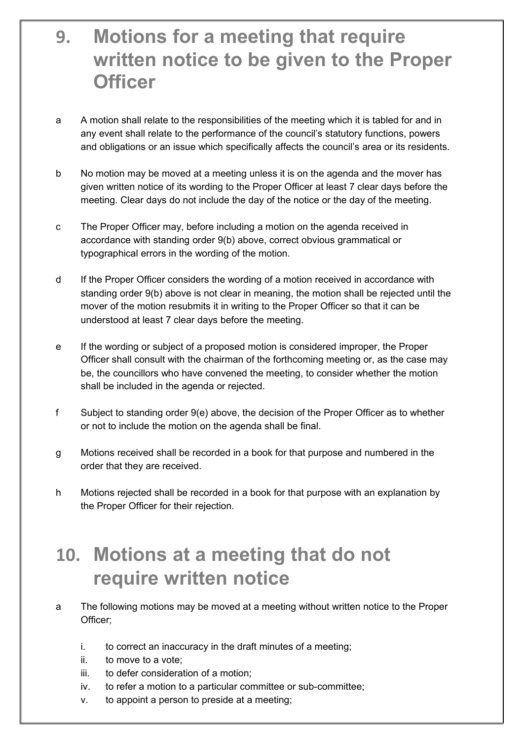### **9. Motions for a meeting that require written notice to be given to the Proper Officer**

- a A motion shall relate to the responsibilities of the meeting which it is tabled for and in any event shall relate to the performance of the council's statutory functions, powers and obligations or an issue which specifically affects the council's area or its residents.
- b No motion may be moved at a meeting unless it is on the agenda and the mover has given written notice of its wording to the Proper Officer at least 7 clear days before the meeting. Clear days do not include the day of the notice or the day of the meeting.
- c The Proper Officer may, before including a motion on the agenda received in accordance with standing order 9(b) above, correct obvious grammatical or typographical errors in the wording of the motion.
- d If the Proper Officer considers the wording of a motion received in accordance with standing order 9(b) above is not clear in meaning, the motion shall be rejected until the mover of the motion resubmits it in writing to the Proper Officer so that it can be understood at least 7 clear days before the meeting.
- e If the wording or subject of a proposed motion is considered improper, the Proper Officer shall consult with the chairman of the forthcoming meeting or, as the case may be, the councillors who have convened the meeting, to consider whether the motion shall be included in the agenda or rejected.
- f Subject to standing order 9(e) above, the decision of the Proper Officer as to whether or not to include the motion on the agenda shall be final.
- g Motions received shall be recorded in a book for that purpose and numbered in the order that they are received.
- h Motions rejected shall be recorded in a book for that purpose with an explanation by the Proper Officer for their rejection.

### **10. Motions at a meeting that do not require written notice**

- a The following motions may be moved at a meeting without written notice to the Proper Officer;
	- i. to correct an inaccuracy in the draft minutes of a meeting;
	- ii. to move to a vote;
	- iii. to defer consideration of a motion;
	- iv. to refer a motion to a particular committee or sub-committee;
	- v. to appoint a person to preside at a meeting;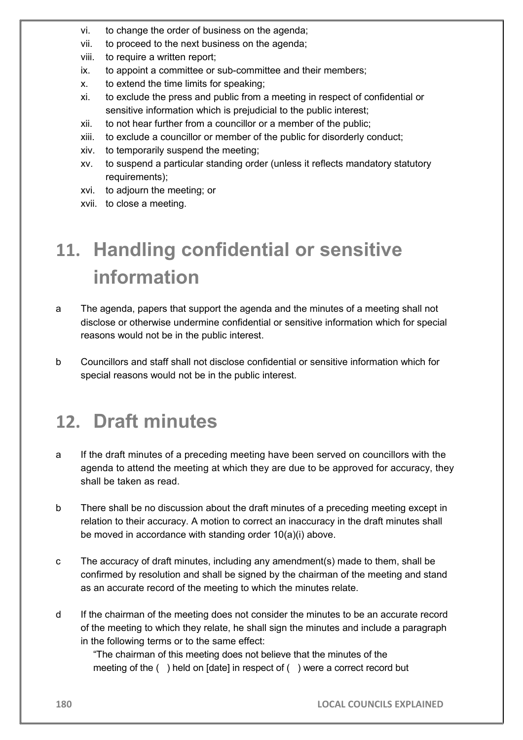- vi. to change the order of business on the agenda;
- vii. to proceed to the next business on the agenda;
- viii. to require a written report;
- ix. to appoint a committee or sub-committee and their members;
- x. to extend the time limits for speaking;
- xi. to exclude the press and public from a meeting in respect of confidential or sensitive information which is prejudicial to the public interest;
- xii. to not hear further from a councillor or a member of the public;
- xiii. to exclude a councillor or member of the public for disorderly conduct;
- xiv. to temporarily suspend the meeting;
- xv. to suspend a particular standing order (unless it reflects mandatory statutory requirements);
- xvi. to adjourn the meeting; or
- xvii. to close a meeting.

# **11. Handling confidential or sensitive information**

- a The agenda, papers that support the agenda and the minutes of a meeting shall not disclose or otherwise undermine confidential or sensitive information which for special reasons would not be in the public interest.
- b Councillors and staff shall not disclose confidential or sensitive information which for special reasons would not be in the public interest.

## **12. Draft minutes**

- a If the draft minutes of a preceding meeting have been served on councillors with the agenda to attend the meeting at which they are due to be approved for accuracy, they shall be taken as read.
- b There shall be no discussion about the draft minutes of a preceding meeting except in relation to their accuracy. A motion to correct an inaccuracy in the draft minutes shall be moved in accordance with standing order 10(a)(i) above.
- c The accuracy of draft minutes, including any amendment(s) made to them, shall be confirmed by resolution and shall be signed by the chairman of the meeting and stand as an accurate record of the meeting to which the minutes relate.
- d If the chairman of the meeting does not consider the minutes to be an accurate record of the meeting to which they relate, he shall sign the minutes and include a paragraph in the following terms or to the same effect:

"The chairman of this meeting does not believe that the minutes of the meeting of the () held on [date] in respect of () were a correct record but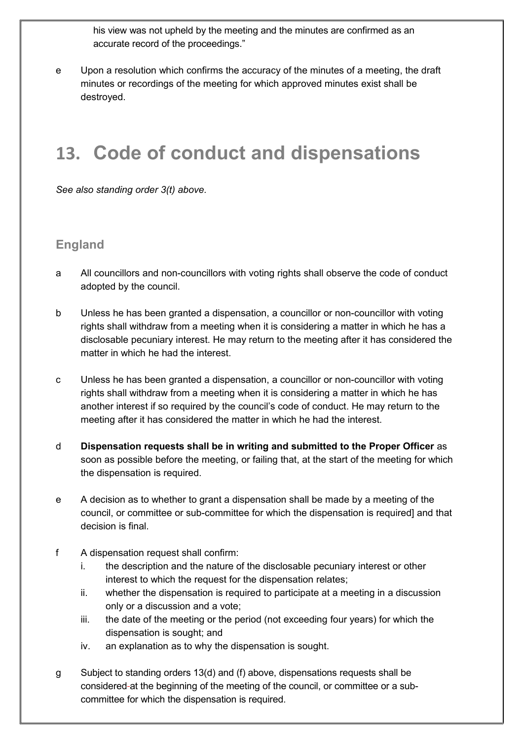his view was not upheld by the meeting and the minutes are confirmed as an accurate record of the proceedings."

e Upon a resolution which confirms the accuracy of the minutes of a meeting, the draft minutes or recordings of the meeting for which approved minutes exist shall be destroyed.

### **13. Code of conduct and dispensations**

*See also standing order 3(t) above.* 

### **England**

- a All councillors and non-councillors with voting rights shall observe the code of conduct adopted by the council.
- b Unless he has been granted a dispensation, a councillor or non-councillor with voting rights shall withdraw from a meeting when it is considering a matter in which he has a disclosable pecuniary interest. He may return to the meeting after it has considered the matter in which he had the interest.
- c Unless he has been granted a dispensation, a councillor or non-councillor with voting rights shall withdraw from a meeting when it is considering a matter in which he has another interest if so required by the council's code of conduct. He may return to the meeting after it has considered the matter in which he had the interest.
- d **Dispensation requests shall be in writing and submitted to the Proper Officer** as soon as possible before the meeting, or failing that, at the start of the meeting for which the dispensation is required.
- e A decision as to whether to grant a dispensation shall be made by a meeting of the council, or committee or sub-committee for which the dispensation is required] and that decision is final.
- f A dispensation request shall confirm:
	- i. the description and the nature of the disclosable pecuniary interest or other interest to which the request for the dispensation relates;
	- ii. whether the dispensation is required to participate at a meeting in a discussion only or a discussion and a vote;
	- iii. the date of the meeting or the period (not exceeding four years) for which the dispensation is sought; and
	- iv. an explanation as to why the dispensation is sought.
- g Subject to standing orders 13(d) and (f) above, dispensations requests shall be considered at the beginning of the meeting of the council, or committee or a subcommittee for which the dispensation is required.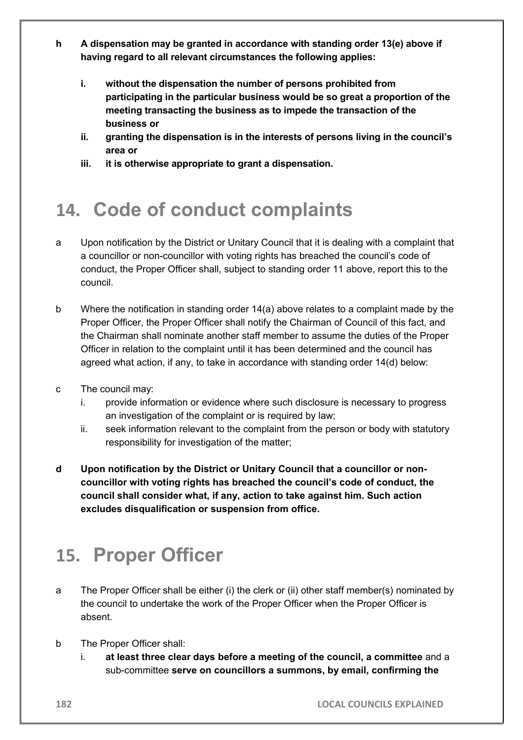- **h A dispensation may be granted in accordance with standing order 13(e) above if having regard to all relevant circumstances the following applies:**
	- **i. without the dispensation the number of persons prohibited from participating in the particular business would be so great a proportion of the meeting transacting the business as to impede the transaction of the business or**
	- **ii. granting the dispensation is in the interests of persons living in the council's area or**
	- **iii. it is otherwise appropriate to grant a dispensation.**

# **14. Code of conduct complaints**

- a Upon notification by the District or Unitary Council that it is dealing with a complaint that a councillor or non-councillor with voting rights has breached the council's code of conduct, the Proper Officer shall, subject to standing order 11 above, report this to the council.
- b Where the notification in standing order 14(a) above relates to a complaint made by the Proper Officer, the Proper Officer shall notify the Chairman of Council of this fact, and the Chairman shall nominate another staff member to assume the duties of the Proper Officer in relation to the complaint until it has been determined and the council has agreed what action, if any, to take in accordance with standing order 14(d) below:
- c The council may:
	- i. provide information or evidence where such disclosure is necessary to progress an investigation of the complaint or is required by law;
	- ii. seek information relevant to the complaint from the person or body with statutory responsibility for investigation of the matter;
- **d Upon notification by the District or Unitary Council that a councillor or noncouncillor with voting rights has breached the council's code of conduct, the council shall consider what, if any, action to take against him. Such action excludes disqualification or suspension from office.**

### **15. Proper Officer**

- a The Proper Officer shall be either (i) the clerk or (ii) other staff member(s) nominated by the council to undertake the work of the Proper Officer when the Proper Officer is absent.
- b The Proper Officer shall:
	- i. **at least three clear days before a meeting of the council, a committee** and a sub-committee **serve on councillors a summons, by email, confirming the**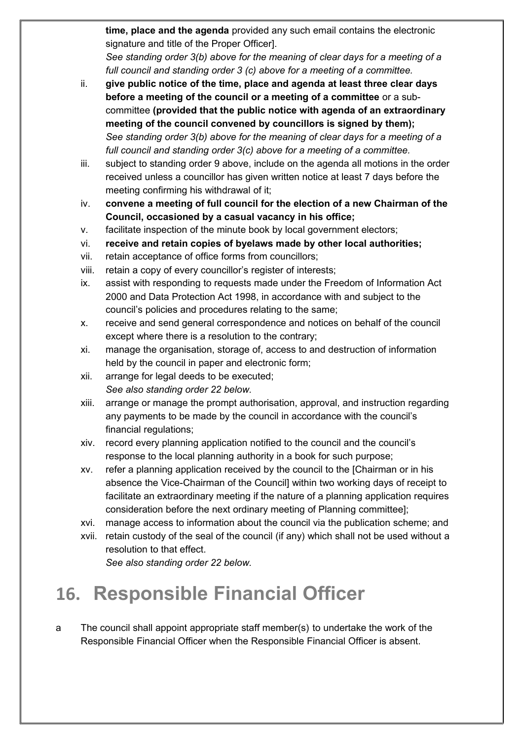**time, place and the agenda** provided any such email contains the electronic signature and title of the Proper Officer].

*See standing order 3(b) above for the meaning of clear days for a meeting of a full council and standing order 3 (c) above for a meeting of a committee.*

- ii. **give public notice of the time, place and agenda at least three clear days before a meeting of the council or a meeting of a committee** or a subcommittee **(provided that the public notice with agenda of an extraordinary meeting of the council convened by councillors is signed by them);** *See standing order 3(b) above for the meaning of clear days for a meeting of a full council and standing order 3(c) above for a meeting of a committee.*
- iii. subject to standing order 9 above, include on the agenda all motions in the order received unless a councillor has given written notice at least 7 days before the meeting confirming his withdrawal of it;
- iv. **convene a meeting of full council for the election of a new Chairman of the Council, occasioned by a casual vacancy in his office;**
- v. facilitate inspection of the minute book by local government electors;
- vi. **receive and retain copies of byelaws made by other local authorities;**
- vii. retain acceptance of office forms from councillors;
- viii. retain a copy of every councillor's register of interests;
- ix. assist with responding to requests made under the Freedom of Information Act 2000 and Data Protection Act 1998, in accordance with and subject to the council's policies and procedures relating to the same;
- x. receive and send general correspondence and notices on behalf of the council except where there is a resolution to the contrary;
- xi. manage the organisation, storage of, access to and destruction of information held by the council in paper and electronic form;
- xii. arrange for legal deeds to be executed; *See also standing order 22 below.*
- xiii. arrange or manage the prompt authorisation, approval, and instruction regarding any payments to be made by the council in accordance with the council's financial regulations;
- xiv. record every planning application notified to the council and the council's response to the local planning authority in a book for such purpose;
- xv. refer a planning application received by the council to the [Chairman or in his absence the Vice-Chairman of the Council] within two working days of receipt to facilitate an extraordinary meeting if the nature of a planning application requires consideration before the next ordinary meeting of Planning committee];
- xvi. manage access to information about the council via the publication scheme; and
- xvii. retain custody of the seal of the council (if any) which shall not be used without a resolution to that effect. *See also standing order 22 below.*

# **16. Responsible Financial Officer**

a The council shall appoint appropriate staff member(s) to undertake the work of the Responsible Financial Officer when the Responsible Financial Officer is absent.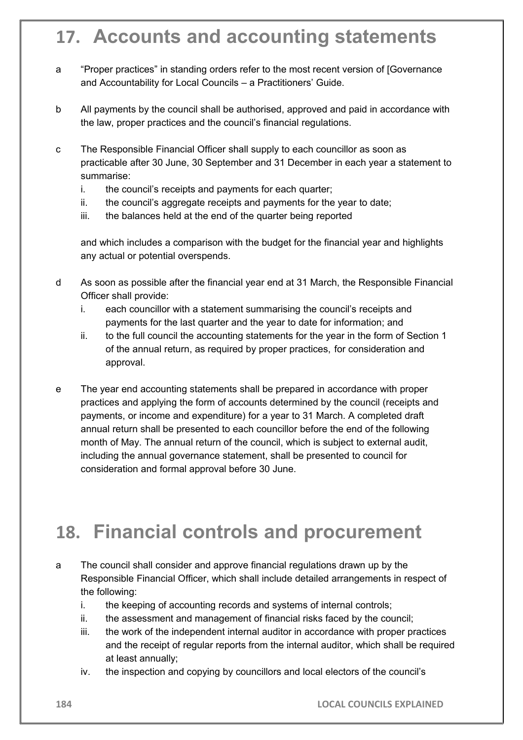### **17. Accounts and accounting statements**

- a "Proper practices" in standing orders refer to the most recent version of [Governance and Accountability for Local Councils – a Practitioners' Guide.
- b All payments by the council shall be authorised, approved and paid in accordance with the law, proper practices and the council's financial regulations.
- c The Responsible Financial Officer shall supply to each councillor as soon as practicable after 30 June, 30 September and 31 December in each year a statement to summarise:
	- i. the council's receipts and payments for each quarter;
	- ii. the council's aggregate receipts and payments for the year to date;
	- iii. the balances held at the end of the quarter being reported

and which includes a comparison with the budget for the financial year and highlights any actual or potential overspends.

- d As soon as possible after the financial year end at 31 March, the Responsible Financial Officer shall provide:
	- i. each councillor with a statement summarising the council's receipts and payments for the last quarter and the year to date for information; and
	- ii. to the full council the accounting statements for the year in the form of Section 1 of the annual return, as required by proper practices, for consideration and approval.
- e The year end accounting statements shall be prepared in accordance with proper practices and applying the form of accounts determined by the council (receipts and payments, or income and expenditure) for a year to 31 March. A completed draft annual return shall be presented to each councillor before the end of the following month of May. The annual return of the council, which is subject to external audit, including the annual governance statement, shall be presented to council for consideration and formal approval before 30 June.

### **18. Financial controls and procurement**

- a The council shall consider and approve financial regulations drawn up by the Responsible Financial Officer, which shall include detailed arrangements in respect of the following:
	- i. the keeping of accounting records and systems of internal controls;
	- ii. the assessment and management of financial risks faced by the council;
	- iii. the work of the independent internal auditor in accordance with proper practices and the receipt of regular reports from the internal auditor, which shall be required at least annually;
	- iv. the inspection and copying by councillors and local electors of the council's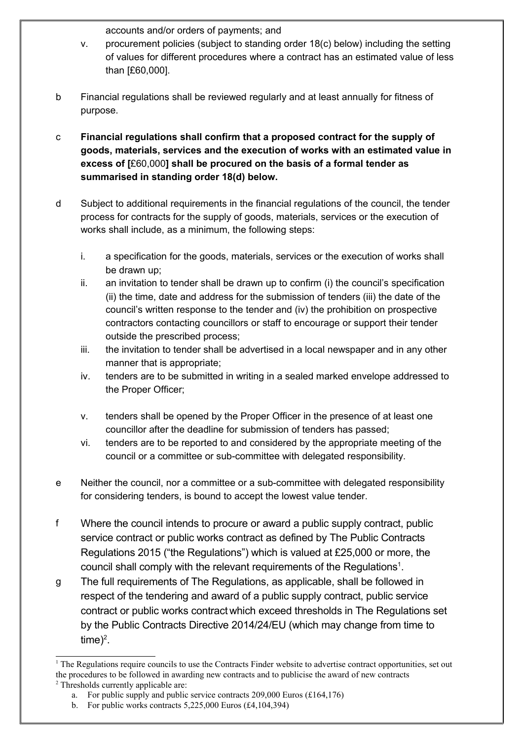accounts and/or orders of payments; and

- v. procurement policies (subject to standing order 18(c) below) including the setting of values for different procedures where a contract has an estimated value of less than [£60,000].
- b Financial regulations shall be reviewed regularly and at least annually for fitness of purpose.
- c **Financial regulations shall confirm that a proposed contract for the supply of goods, materials, services and the execution of works with an estimated value in excess of [**£60,000**] shall be procured on the basis of a formal tender as summarised in standing order 18(d) below.**
- d Subject to additional requirements in the financial regulations of the council, the tender process for contracts for the supply of goods, materials, services or the execution of works shall include, as a minimum, the following steps:
	- i. a specification for the goods, materials, services or the execution of works shall be drawn up;
	- ii. an invitation to tender shall be drawn up to confirm (i) the council's specification (ii) the time, date and address for the submission of tenders (iii) the date of the council's written response to the tender and (iv) the prohibition on prospective contractors contacting councillors or staff to encourage or support their tender outside the prescribed process;
	- iii. the invitation to tender shall be advertised in a local newspaper and in any other manner that is appropriate;
	- iv. tenders are to be submitted in writing in a sealed marked envelope addressed to the Proper Officer;
	- v. tenders shall be opened by the Proper Officer in the presence of at least one councillor after the deadline for submission of tenders has passed;
	- vi. tenders are to be reported to and considered by the appropriate meeting of the council or a committee or sub-committee with delegated responsibility.
- e Neither the council, nor a committee or a sub-committee with delegated responsibility for considering tenders, is bound to accept the lowest value tender.
- f Where the council intends to procure or award a public supply contract, public service contract or public works contract as defined by The Public Contracts Regulations 2015 ("the Regulations") which is valued at £25,000 or more, the council shall comply with the relevant requirements of the Regulations $^{\text{1}}$  $^{\text{1}}$  $^{\text{1}}$ .
- g The full requirements of The Regulations, as applicable, shall be followed in respect of the tendering and award of a public supply contract, public service contract or public works contract which exceed thresholds in The Regulations set by the Public Contracts Directive 2014/24/EU (which may change from time to time)<sup>[2](#page-16-1)</sup>.

<span id="page-16-0"></span><sup>&</sup>lt;sup>1</sup> The Regulations require councils to use the Contracts Finder website to advertise contract opportunities, set out the procedures to be followed in awarding new contracts and to publicise the award of new contracts

<span id="page-16-1"></span><sup>&</sup>lt;sup>2</sup> Thresholds currently applicable are: a. For public supply and public service contracts  $209,000$  Euros (£164,176)

b. For public works contracts  $5,225,000$  Euros (£4,104,394)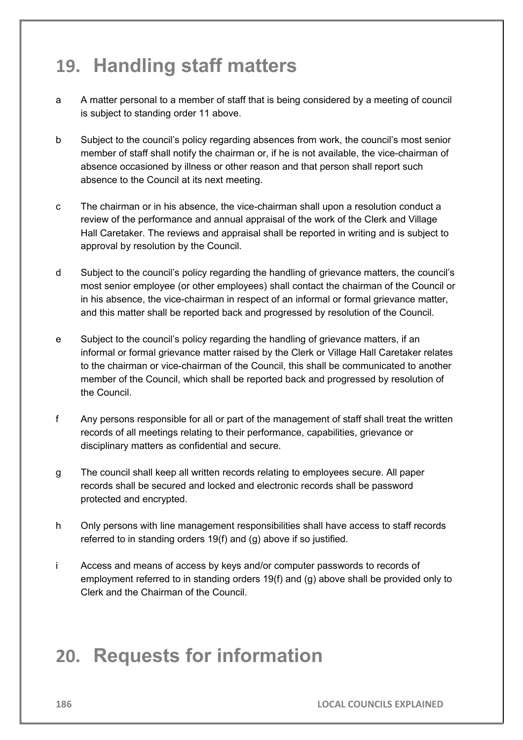### **19. Handling staff matters**

- a A matter personal to a member of staff that is being considered by a meeting of council is subject to standing order 11 above.
- b Subject to the council's policy regarding absences from work, the council's most senior member of staff shall notify the chairman or, if he is not available, the vice-chairman of absence occasioned by illness or other reason and that person shall report such absence to the Council at its next meeting.
- c The chairman or in his absence, the vice-chairman shall upon a resolution conduct a review of the performance and annual appraisal of the work of the Clerk and Village Hall Caretaker. The reviews and appraisal shall be reported in writing and is subject to approval by resolution by the Council.
- d Subject to the council's policy regarding the handling of grievance matters, the council's most senior employee (or other employees) shall contact the chairman of the Council or in his absence, the vice-chairman in respect of an informal or formal grievance matter, and this matter shall be reported back and progressed by resolution of the Council.
- e Subject to the council's policy regarding the handling of grievance matters, if an informal or formal grievance matter raised by the Clerk or Village Hall Caretaker relates to the chairman or vice-chairman of the Council, this shall be communicated to another member of the Council, which shall be reported back and progressed by resolution of the Council.
- f Any persons responsible for all or part of the management of staff shall treat the written records of all meetings relating to their performance, capabilities, grievance or disciplinary matters as confidential and secure.
- g The council shall keep all written records relating to employees secure. All paper records shall be secured and locked and electronic records shall be password protected and encrypted.
- h Only persons with line management responsibilities shall have access to staff records referred to in standing orders 19(f) and (g) above if so justified.
- i Access and means of access by keys and/or computer passwords to records of employment referred to in standing orders 19(f) and (g) above shall be provided only to Clerk and the Chairman of the Council.

### **20. Requests for information**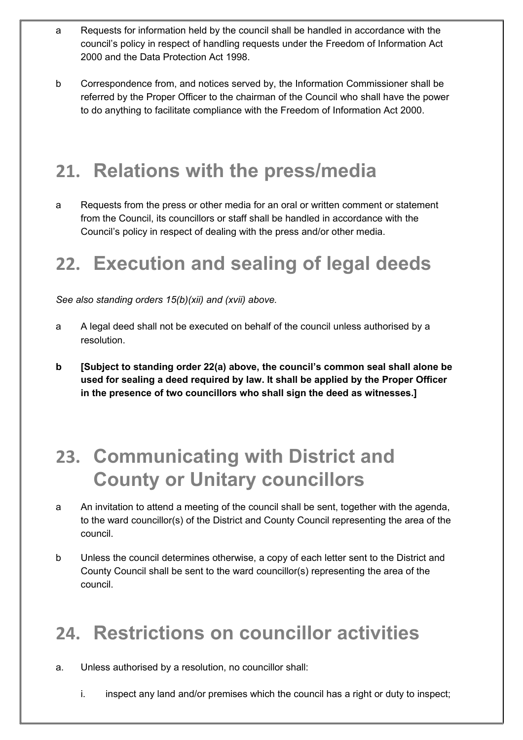- a Requests for information held by the council shall be handled in accordance with the council's policy in respect of handling requests under the Freedom of Information Act 2000 and the Data Protection Act 1998.
- b Correspondence from, and notices served by, the Information Commissioner shall be referred by the Proper Officer to the chairman of the Council who shall have the power to do anything to facilitate compliance with the Freedom of Information Act 2000.

# **21. Relations with the press/media**

a Requests from the press or other media for an oral or written comment or statement from the Council, its councillors or staff shall be handled in accordance with the Council's policy in respect of dealing with the press and/or other media.

# **22. Execution and sealing of legal deeds**

*See also standing orders 15(b)(xii) and (xvii) above.*

- a A legal deed shall not be executed on behalf of the council unless authorised by a resolution.
- **b [Subject to standing order 22(a) above, the council's common seal shall alone be used for sealing a deed required by law. It shall be applied by the Proper Officer in the presence of two councillors who shall sign the deed as witnesses.]**

### **23. Communicating with District and County or Unitary councillors**

- a An invitation to attend a meeting of the council shall be sent, together with the agenda, to the ward councillor(s) of the District and County Council representing the area of the council.
- b Unless the council determines otherwise, a copy of each letter sent to the District and County Council shall be sent to the ward councillor(s) representing the area of the council.

# **24. Restrictions on councillor activities**

- a. Unless authorised by a resolution, no councillor shall:
	- i. inspect any land and/or premises which the council has a right or duty to inspect;